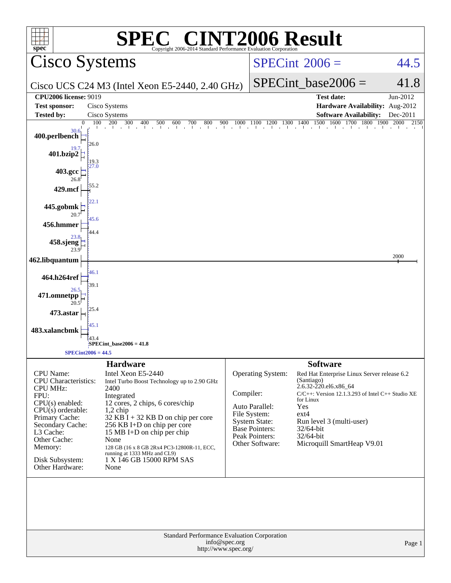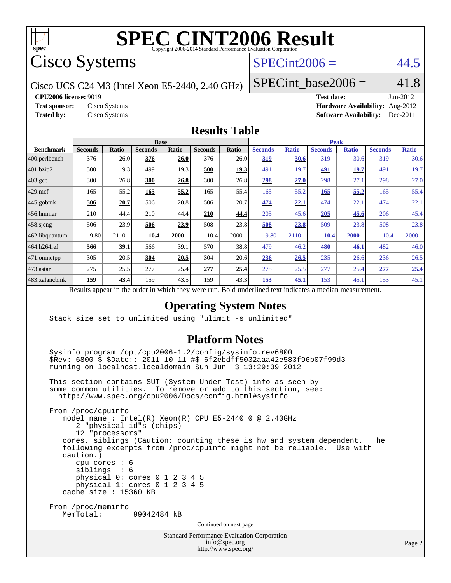

Cisco Systems

## $SPECint2006 = 44.5$  $SPECint2006 = 44.5$

Cisco UCS C24 M3 (Intel Xeon E5-2440, 2.40 GHz)

### SPECint base2006 =  $41.8$

**[CPU2006 license:](http://www.spec.org/auto/cpu2006/Docs/result-fields.html#CPU2006license)** 9019 **[Test date:](http://www.spec.org/auto/cpu2006/Docs/result-fields.html#Testdate)** Jun-2012

**[Test sponsor:](http://www.spec.org/auto/cpu2006/Docs/result-fields.html#Testsponsor)** Cisco Systems **[Hardware Availability:](http://www.spec.org/auto/cpu2006/Docs/result-fields.html#HardwareAvailability)** Aug-2012 **[Tested by:](http://www.spec.org/auto/cpu2006/Docs/result-fields.html#Testedby)** Cisco Systems **[Software Availability:](http://www.spec.org/auto/cpu2006/Docs/result-fields.html#SoftwareAvailability)** Dec-2011

#### **[Results Table](http://www.spec.org/auto/cpu2006/Docs/result-fields.html#ResultsTable)**

|                    | <b>Base</b>    |       |                |       |                |              |                | <b>Peak</b>  |                |              |                |              |  |
|--------------------|----------------|-------|----------------|-------|----------------|--------------|----------------|--------------|----------------|--------------|----------------|--------------|--|
| <b>Benchmark</b>   | <b>Seconds</b> | Ratio | <b>Seconds</b> | Ratio | <b>Seconds</b> | <b>Ratio</b> | <b>Seconds</b> | <b>Ratio</b> | <b>Seconds</b> | <b>Ratio</b> | <b>Seconds</b> | <b>Ratio</b> |  |
| 400.perlbench      | 376            | 26.0  | 376            | 26.0  | 376            | 26.0         | <u>319</u>     | <u>30.6</u>  | 319            | 30.6         | 319            | 30.6         |  |
| 401.bzip2          | 500            | 19.3  | 499            | 19.3  | 500            | <u>19.3</u>  | 491            | 19.7         | 491            | <u> 19.7</u> | 491            | 19.7         |  |
| $403.\mathrm{gcc}$ | 300            | 26.8  | 300            | 26.8  | 300            | 26.8         | 298            | 27.0         | 298            | 27.1         | 298            | 27.0         |  |
| $429$ .mcf         | 165            | 55.2  | 165            | 55.2  | 165            | 55.4         | 165            | 55.2         | 165            | 55,2         | 165            | 55.4         |  |
| $445$ .gobmk       | 506            | 20.7  | 506            | 20.8  | 506            | 20.7         | 474            | 22.1         | 474            | 22.1         | 474            | 22.1         |  |
| $456.$ hmmer       | 210            | 44.4  | 210            | 44.4  | 210            | 44.4         | 205            | 45.6         | 205            | 45.6         | 206            | 45.4         |  |
| $458$ .sjeng       | 506            | 23.9  | 506            | 23.9  | 508            | 23.8         | 508            | 23.8         | 509            | 23.8         | 508            | 23.8         |  |
| 462.libquantum     | 9.80           | 2110  | 10.4           | 2000  | 10.4           | 2000         | 9.80           | 2110         | 10.4           | 2000         | 10.4           | 2000         |  |
| 464.h264ref        | 566            | 39.1  | 566            | 39.1  | 570            | 38.8         | 479            | 46.2         | 480            | 46.1         | 482            | 46.0         |  |
| $ 471$ .omnetpp    | 305            | 20.5  | 304            | 20.5  | 304            | 20.6         | <u>236</u>     | 26.5         | 235            | 26.6         | 236            | 26.5         |  |
| $ 473$ . astar     | 275            | 25.5  | 277            | 25.4  | 277            | 25.4         | 275            | 25.5         | 277            | 25.4         | 277            | 25.4         |  |
| 483.xalancbmk      | <u>159</u>     | 43.4  | 159            | 43.5  | 159            | 43.3         | <u>153</u>     | 45.1         | 153            | 45.1         | 153            | 45.1         |  |

Results appear in the [order in which they were run.](http://www.spec.org/auto/cpu2006/Docs/result-fields.html#RunOrder) Bold underlined text [indicates a median measurement.](http://www.spec.org/auto/cpu2006/Docs/result-fields.html#Median)

#### **[Operating System Notes](http://www.spec.org/auto/cpu2006/Docs/result-fields.html#OperatingSystemNotes)**

Stack size set to unlimited using "ulimit -s unlimited"

#### **[Platform Notes](http://www.spec.org/auto/cpu2006/Docs/result-fields.html#PlatformNotes)**

 Sysinfo program /opt/cpu2006-1.2/config/sysinfo.rev6800 \$Rev: 6800 \$ \$Date:: 2011-10-11 #\$ 6f2ebdff5032aaa42e583f96b07f99d3 running on localhost.localdomain Sun Jun 3 13:29:39 2012

 This section contains SUT (System Under Test) info as seen by some common utilities. To remove or add to this section, see: <http://www.spec.org/cpu2006/Docs/config.html#sysinfo>

 From /proc/cpuinfo model name : Intel(R) Xeon(R) CPU E5-2440 0 @ 2.40GHz 2 "physical id"s (chips) 12 "processors" cores, siblings (Caution: counting these is hw and system dependent. The following excerpts from /proc/cpuinfo might not be reliable. Use with caution.) cpu cores : 6 siblings : 6 physical 0: cores 0 1 2 3 4 5 physical 1: cores 0 1 2 3 4 5 cache size : 15360 KB From /proc/meminfo MemTotal: 99042484 kB Continued on next page

Standard Performance Evaluation Corporation

```
info@spec.org
http://www.spec.org/
```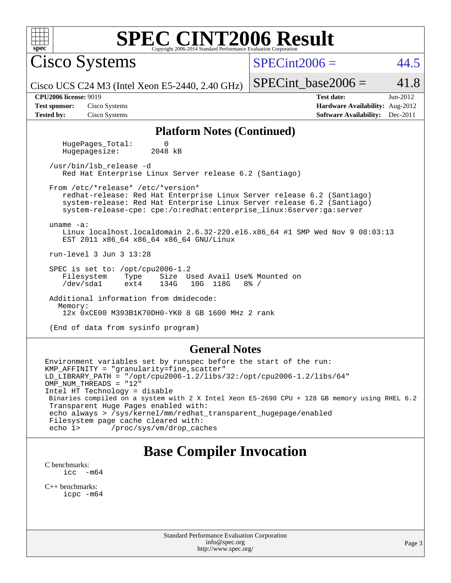| SPEC CINT2006 Evaluation Corporation <b>SPEC</b> Copyright 2006-2014 Standard Performance Evaluation Corporation<br>$spec^*$                                                                                                                                                                                                                                                                             |                                                                                                              |  |  |  |  |  |  |
|----------------------------------------------------------------------------------------------------------------------------------------------------------------------------------------------------------------------------------------------------------------------------------------------------------------------------------------------------------------------------------------------------------|--------------------------------------------------------------------------------------------------------------|--|--|--|--|--|--|
| <b>Cisco Systems</b>                                                                                                                                                                                                                                                                                                                                                                                     | $SPECint2006 =$<br>44.5                                                                                      |  |  |  |  |  |  |
| Cisco UCS C24 M3 (Intel Xeon E5-2440, 2.40 GHz)                                                                                                                                                                                                                                                                                                                                                          | 41.8<br>$SPECint\_base2006 =$                                                                                |  |  |  |  |  |  |
| <b>CPU2006 license: 9019</b><br><b>Test sponsor:</b><br>Cisco Systems<br><b>Tested by:</b><br>Cisco Systems                                                                                                                                                                                                                                                                                              | <b>Test date:</b><br>$Jun-2012$<br>Hardware Availability: Aug-2012<br><b>Software Availability:</b> Dec-2011 |  |  |  |  |  |  |
| <b>Platform Notes (Continued)</b>                                                                                                                                                                                                                                                                                                                                                                        |                                                                                                              |  |  |  |  |  |  |
| HugePages_Total:<br>0<br>2048 kB<br>Hugepagesize:                                                                                                                                                                                                                                                                                                                                                        |                                                                                                              |  |  |  |  |  |  |
| /usr/bin/lsb release -d<br>Red Hat Enterprise Linux Server release 6.2 (Santiago)                                                                                                                                                                                                                                                                                                                        |                                                                                                              |  |  |  |  |  |  |
| From /etc/*release* /etc/*version*<br>redhat-release: Red Hat Enterprise Linux Server release 6.2 (Santiago)<br>system-release: Red Hat Enterprise Linux Server release 6.2 (Santiago)<br>system-release-cpe: cpe:/o:redhat:enterprise_linux:6server:ga:server<br>uname $-a$ :<br>Linux localhost.localdomain 2.6.32-220.el6.x86_64 #1 SMP Wed Nov 9 08:03:13<br>EST 2011 x86_64 x86_64 x86_64 GNU/Linux |                                                                                                              |  |  |  |  |  |  |
| run-level 3 Jun 3 13:28                                                                                                                                                                                                                                                                                                                                                                                  |                                                                                                              |  |  |  |  |  |  |
| SPEC is set to: /opt/cpu2006-1.2<br>Filesystem<br>Size Used Avail Use% Mounted on<br>Type<br>/dev/sda1<br>134G<br>10G 118G<br>$8\%$ /<br>ext4                                                                                                                                                                                                                                                            |                                                                                                              |  |  |  |  |  |  |
| Additional information from dmidecode:<br>Memory:<br>12x 0xCE00 M393B1K70DH0-YK0 8 GB 1600 MHz 2 rank                                                                                                                                                                                                                                                                                                    |                                                                                                              |  |  |  |  |  |  |
| (End of data from sysinfo program)                                                                                                                                                                                                                                                                                                                                                                       |                                                                                                              |  |  |  |  |  |  |
| <b>General Notes</b>                                                                                                                                                                                                                                                                                                                                                                                     |                                                                                                              |  |  |  |  |  |  |
| Environment variables set by runspec before the start of the run:<br>KMP_AFFINITY = "granularity=fine, scatter"<br>$LD_LIBRARY_PATH = "/opt/cpu2006-1.2/libs/32://opt/cpu2006-1.2/libs/64"$<br>OMP_NUM_THREADS = "12"<br>$Tn+2$ $\text{IIP}$ $\text{Te}_2$ $\text{H}_2$ $\text{H}_3$ $\text{H}_4$ $\text{H}_5$ $\text{H}_5$                                                                              |                                                                                                              |  |  |  |  |  |  |

Intel HT Technology = disable Binaries compiled on a system with 2 X Intel Xeon E5-2690 CPU + 128 GB memory using RHEL 6.2 Transparent Huge Pages enabled with: echo always > /sys/kernel/mm/redhat\_transparent\_hugepage/enabled Filesystem page cache cleared with:<br>echo 1> /proc/sys/vm/drop\_cac /proc/sys/vm/drop\_caches

## **[Base Compiler Invocation](http://www.spec.org/auto/cpu2006/Docs/result-fields.html#BaseCompilerInvocation)**

[C benchmarks](http://www.spec.org/auto/cpu2006/Docs/result-fields.html#Cbenchmarks):  $\text{icc}$  -m64

[C++ benchmarks:](http://www.spec.org/auto/cpu2006/Docs/result-fields.html#CXXbenchmarks) [icpc -m64](http://www.spec.org/cpu2006/results/res2012q3/cpu2006-20120618-22984.flags.html#user_CXXbase_intel_icpc_64bit_fc66a5337ce925472a5c54ad6a0de310)

> Standard Performance Evaluation Corporation [info@spec.org](mailto:info@spec.org) <http://www.spec.org/>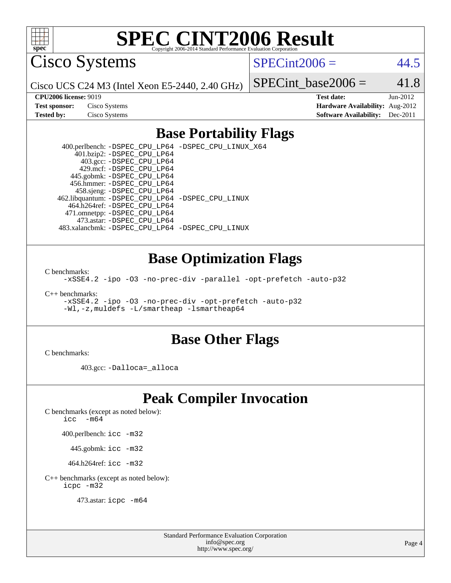

Cisco Systems

 $SPECint2006 = 44.5$  $SPECint2006 = 44.5$ 

Cisco UCS C24 M3 (Intel Xeon E5-2440, 2.40 GHz)

SPECint base2006 =  $41.8$ 

| <b>Test sponsor:</b> | Cisco Systems |
|----------------------|---------------|
| <b>Tested by:</b>    | Cisco Systems |

**[CPU2006 license:](http://www.spec.org/auto/cpu2006/Docs/result-fields.html#CPU2006license)** 9019 **[Test date:](http://www.spec.org/auto/cpu2006/Docs/result-fields.html#Testdate)** Jun-2012 **[Hardware Availability:](http://www.spec.org/auto/cpu2006/Docs/result-fields.html#HardwareAvailability)** Aug-2012 **[Software Availability:](http://www.spec.org/auto/cpu2006/Docs/result-fields.html#SoftwareAvailability)** Dec-2011

### **[Base Portability Flags](http://www.spec.org/auto/cpu2006/Docs/result-fields.html#BasePortabilityFlags)**

 400.perlbench: [-DSPEC\\_CPU\\_LP64](http://www.spec.org/cpu2006/results/res2012q3/cpu2006-20120618-22984.flags.html#b400.perlbench_basePORTABILITY_DSPEC_CPU_LP64) [-DSPEC\\_CPU\\_LINUX\\_X64](http://www.spec.org/cpu2006/results/res2012q3/cpu2006-20120618-22984.flags.html#b400.perlbench_baseCPORTABILITY_DSPEC_CPU_LINUX_X64) 401.bzip2: [-DSPEC\\_CPU\\_LP64](http://www.spec.org/cpu2006/results/res2012q3/cpu2006-20120618-22984.flags.html#suite_basePORTABILITY401_bzip2_DSPEC_CPU_LP64) 403.gcc: [-DSPEC\\_CPU\\_LP64](http://www.spec.org/cpu2006/results/res2012q3/cpu2006-20120618-22984.flags.html#suite_basePORTABILITY403_gcc_DSPEC_CPU_LP64) 429.mcf: [-DSPEC\\_CPU\\_LP64](http://www.spec.org/cpu2006/results/res2012q3/cpu2006-20120618-22984.flags.html#suite_basePORTABILITY429_mcf_DSPEC_CPU_LP64) 445.gobmk: [-DSPEC\\_CPU\\_LP64](http://www.spec.org/cpu2006/results/res2012q3/cpu2006-20120618-22984.flags.html#suite_basePORTABILITY445_gobmk_DSPEC_CPU_LP64) 456.hmmer: [-DSPEC\\_CPU\\_LP64](http://www.spec.org/cpu2006/results/res2012q3/cpu2006-20120618-22984.flags.html#suite_basePORTABILITY456_hmmer_DSPEC_CPU_LP64) 458.sjeng: [-DSPEC\\_CPU\\_LP64](http://www.spec.org/cpu2006/results/res2012q3/cpu2006-20120618-22984.flags.html#suite_basePORTABILITY458_sjeng_DSPEC_CPU_LP64) 462.libquantum: [-DSPEC\\_CPU\\_LP64](http://www.spec.org/cpu2006/results/res2012q3/cpu2006-20120618-22984.flags.html#suite_basePORTABILITY462_libquantum_DSPEC_CPU_LP64) [-DSPEC\\_CPU\\_LINUX](http://www.spec.org/cpu2006/results/res2012q3/cpu2006-20120618-22984.flags.html#b462.libquantum_baseCPORTABILITY_DSPEC_CPU_LINUX) 464.h264ref: [-DSPEC\\_CPU\\_LP64](http://www.spec.org/cpu2006/results/res2012q3/cpu2006-20120618-22984.flags.html#suite_basePORTABILITY464_h264ref_DSPEC_CPU_LP64) 471.omnetpp: [-DSPEC\\_CPU\\_LP64](http://www.spec.org/cpu2006/results/res2012q3/cpu2006-20120618-22984.flags.html#suite_basePORTABILITY471_omnetpp_DSPEC_CPU_LP64) 473.astar: [-DSPEC\\_CPU\\_LP64](http://www.spec.org/cpu2006/results/res2012q3/cpu2006-20120618-22984.flags.html#suite_basePORTABILITY473_astar_DSPEC_CPU_LP64) 483.xalancbmk: [-DSPEC\\_CPU\\_LP64](http://www.spec.org/cpu2006/results/res2012q3/cpu2006-20120618-22984.flags.html#suite_basePORTABILITY483_xalancbmk_DSPEC_CPU_LP64) [-DSPEC\\_CPU\\_LINUX](http://www.spec.org/cpu2006/results/res2012q3/cpu2006-20120618-22984.flags.html#b483.xalancbmk_baseCXXPORTABILITY_DSPEC_CPU_LINUX)

### **[Base Optimization Flags](http://www.spec.org/auto/cpu2006/Docs/result-fields.html#BaseOptimizationFlags)**

[C benchmarks](http://www.spec.org/auto/cpu2006/Docs/result-fields.html#Cbenchmarks):

[-xSSE4.2](http://www.spec.org/cpu2006/results/res2012q3/cpu2006-20120618-22984.flags.html#user_CCbase_f-xSSE42_f91528193cf0b216347adb8b939d4107) [-ipo](http://www.spec.org/cpu2006/results/res2012q3/cpu2006-20120618-22984.flags.html#user_CCbase_f-ipo) [-O3](http://www.spec.org/cpu2006/results/res2012q3/cpu2006-20120618-22984.flags.html#user_CCbase_f-O3) [-no-prec-div](http://www.spec.org/cpu2006/results/res2012q3/cpu2006-20120618-22984.flags.html#user_CCbase_f-no-prec-div) [-parallel](http://www.spec.org/cpu2006/results/res2012q3/cpu2006-20120618-22984.flags.html#user_CCbase_f-parallel) [-opt-prefetch](http://www.spec.org/cpu2006/results/res2012q3/cpu2006-20120618-22984.flags.html#user_CCbase_f-opt-prefetch) [-auto-p32](http://www.spec.org/cpu2006/results/res2012q3/cpu2006-20120618-22984.flags.html#user_CCbase_f-auto-p32)

[C++ benchmarks:](http://www.spec.org/auto/cpu2006/Docs/result-fields.html#CXXbenchmarks)

[-xSSE4.2](http://www.spec.org/cpu2006/results/res2012q3/cpu2006-20120618-22984.flags.html#user_CXXbase_f-xSSE42_f91528193cf0b216347adb8b939d4107) [-ipo](http://www.spec.org/cpu2006/results/res2012q3/cpu2006-20120618-22984.flags.html#user_CXXbase_f-ipo) [-O3](http://www.spec.org/cpu2006/results/res2012q3/cpu2006-20120618-22984.flags.html#user_CXXbase_f-O3) [-no-prec-div](http://www.spec.org/cpu2006/results/res2012q3/cpu2006-20120618-22984.flags.html#user_CXXbase_f-no-prec-div) [-opt-prefetch](http://www.spec.org/cpu2006/results/res2012q3/cpu2006-20120618-22984.flags.html#user_CXXbase_f-opt-prefetch) [-auto-p32](http://www.spec.org/cpu2006/results/res2012q3/cpu2006-20120618-22984.flags.html#user_CXXbase_f-auto-p32) [-Wl,-z,muldefs](http://www.spec.org/cpu2006/results/res2012q3/cpu2006-20120618-22984.flags.html#user_CXXbase_link_force_multiple1_74079c344b956b9658436fd1b6dd3a8a) [-L/smartheap -lsmartheap64](http://www.spec.org/cpu2006/results/res2012q3/cpu2006-20120618-22984.flags.html#user_CXXbase_SmartHeap64_5e654037dadeae1fe403ab4b4466e60b)

### **[Base Other Flags](http://www.spec.org/auto/cpu2006/Docs/result-fields.html#BaseOtherFlags)**

[C benchmarks](http://www.spec.org/auto/cpu2006/Docs/result-fields.html#Cbenchmarks):

403.gcc: [-Dalloca=\\_alloca](http://www.spec.org/cpu2006/results/res2012q3/cpu2006-20120618-22984.flags.html#b403.gcc_baseEXTRA_CFLAGS_Dalloca_be3056838c12de2578596ca5467af7f3)

## **[Peak Compiler Invocation](http://www.spec.org/auto/cpu2006/Docs/result-fields.html#PeakCompilerInvocation)**

[C benchmarks \(except as noted below\)](http://www.spec.org/auto/cpu2006/Docs/result-fields.html#Cbenchmarksexceptasnotedbelow):

icc  $-m64$ 

400.perlbench: [icc -m32](http://www.spec.org/cpu2006/results/res2012q3/cpu2006-20120618-22984.flags.html#user_peakCCLD400_perlbench_intel_icc_a6a621f8d50482236b970c6ac5f55f93)

445.gobmk: [icc -m32](http://www.spec.org/cpu2006/results/res2012q3/cpu2006-20120618-22984.flags.html#user_peakCCLD445_gobmk_intel_icc_a6a621f8d50482236b970c6ac5f55f93)

464.h264ref: [icc -m32](http://www.spec.org/cpu2006/results/res2012q3/cpu2006-20120618-22984.flags.html#user_peakCCLD464_h264ref_intel_icc_a6a621f8d50482236b970c6ac5f55f93)

[C++ benchmarks \(except as noted below\):](http://www.spec.org/auto/cpu2006/Docs/result-fields.html#CXXbenchmarksexceptasnotedbelow) [icpc -m32](http://www.spec.org/cpu2006/results/res2012q3/cpu2006-20120618-22984.flags.html#user_CXXpeak_intel_icpc_4e5a5ef1a53fd332b3c49e69c3330699)

473.astar: [icpc -m64](http://www.spec.org/cpu2006/results/res2012q3/cpu2006-20120618-22984.flags.html#user_peakCXXLD473_astar_intel_icpc_64bit_fc66a5337ce925472a5c54ad6a0de310)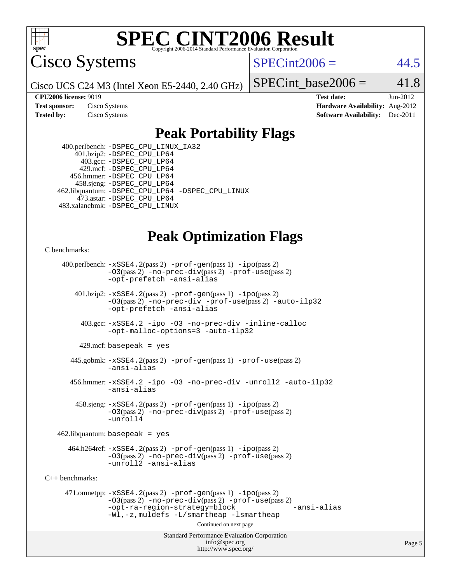

Cisco Systems

 $SPECint2006 = 44.5$  $SPECint2006 = 44.5$ 

Cisco UCS C24 M3 (Intel Xeon E5-2440, 2.40 GHz)

SPECint base2006 =  $41.8$ 

**[CPU2006 license:](http://www.spec.org/auto/cpu2006/Docs/result-fields.html#CPU2006license)** 9019 **[Test date:](http://www.spec.org/auto/cpu2006/Docs/result-fields.html#Testdate)** Jun-2012 **[Test sponsor:](http://www.spec.org/auto/cpu2006/Docs/result-fields.html#Testsponsor)** Cisco Systems **[Hardware Availability:](http://www.spec.org/auto/cpu2006/Docs/result-fields.html#HardwareAvailability)** Aug-2012 **[Tested by:](http://www.spec.org/auto/cpu2006/Docs/result-fields.html#Testedby)** Cisco Systems **[Software Availability:](http://www.spec.org/auto/cpu2006/Docs/result-fields.html#SoftwareAvailability)** Dec-2011

## **[Peak Portability Flags](http://www.spec.org/auto/cpu2006/Docs/result-fields.html#PeakPortabilityFlags)**

 400.perlbench: [-DSPEC\\_CPU\\_LINUX\\_IA32](http://www.spec.org/cpu2006/results/res2012q3/cpu2006-20120618-22984.flags.html#b400.perlbench_peakCPORTABILITY_DSPEC_CPU_LINUX_IA32) 401.bzip2: [-DSPEC\\_CPU\\_LP64](http://www.spec.org/cpu2006/results/res2012q3/cpu2006-20120618-22984.flags.html#suite_peakPORTABILITY401_bzip2_DSPEC_CPU_LP64) 403.gcc: [-DSPEC\\_CPU\\_LP64](http://www.spec.org/cpu2006/results/res2012q3/cpu2006-20120618-22984.flags.html#suite_peakPORTABILITY403_gcc_DSPEC_CPU_LP64) 429.mcf: [-DSPEC\\_CPU\\_LP64](http://www.spec.org/cpu2006/results/res2012q3/cpu2006-20120618-22984.flags.html#suite_peakPORTABILITY429_mcf_DSPEC_CPU_LP64) 456.hmmer: [-DSPEC\\_CPU\\_LP64](http://www.spec.org/cpu2006/results/res2012q3/cpu2006-20120618-22984.flags.html#suite_peakPORTABILITY456_hmmer_DSPEC_CPU_LP64) 458.sjeng: [-DSPEC\\_CPU\\_LP64](http://www.spec.org/cpu2006/results/res2012q3/cpu2006-20120618-22984.flags.html#suite_peakPORTABILITY458_sjeng_DSPEC_CPU_LP64) 462.libquantum: [-DSPEC\\_CPU\\_LP64](http://www.spec.org/cpu2006/results/res2012q3/cpu2006-20120618-22984.flags.html#suite_peakPORTABILITY462_libquantum_DSPEC_CPU_LP64) [-DSPEC\\_CPU\\_LINUX](http://www.spec.org/cpu2006/results/res2012q3/cpu2006-20120618-22984.flags.html#b462.libquantum_peakCPORTABILITY_DSPEC_CPU_LINUX) 473.astar: [-DSPEC\\_CPU\\_LP64](http://www.spec.org/cpu2006/results/res2012q3/cpu2006-20120618-22984.flags.html#suite_peakPORTABILITY473_astar_DSPEC_CPU_LP64) 483.xalancbmk: [-DSPEC\\_CPU\\_LINUX](http://www.spec.org/cpu2006/results/res2012q3/cpu2006-20120618-22984.flags.html#b483.xalancbmk_peakCXXPORTABILITY_DSPEC_CPU_LINUX)

## **[Peak Optimization Flags](http://www.spec.org/auto/cpu2006/Docs/result-fields.html#PeakOptimizationFlags)**

[C benchmarks](http://www.spec.org/auto/cpu2006/Docs/result-fields.html#Cbenchmarks):

 400.perlbench: [-xSSE4.2](http://www.spec.org/cpu2006/results/res2012q3/cpu2006-20120618-22984.flags.html#user_peakPASS2_CFLAGSPASS2_LDCFLAGS400_perlbench_f-xSSE42_f91528193cf0b216347adb8b939d4107)(pass 2) [-prof-gen](http://www.spec.org/cpu2006/results/res2012q3/cpu2006-20120618-22984.flags.html#user_peakPASS1_CFLAGSPASS1_LDCFLAGS400_perlbench_prof_gen_e43856698f6ca7b7e442dfd80e94a8fc)(pass 1) [-ipo](http://www.spec.org/cpu2006/results/res2012q3/cpu2006-20120618-22984.flags.html#user_peakPASS2_CFLAGSPASS2_LDCFLAGS400_perlbench_f-ipo)(pass 2) [-O3](http://www.spec.org/cpu2006/results/res2012q3/cpu2006-20120618-22984.flags.html#user_peakPASS2_CFLAGSPASS2_LDCFLAGS400_perlbench_f-O3)(pass 2) [-no-prec-div](http://www.spec.org/cpu2006/results/res2012q3/cpu2006-20120618-22984.flags.html#user_peakPASS2_CFLAGSPASS2_LDCFLAGS400_perlbench_f-no-prec-div)(pass 2) [-prof-use](http://www.spec.org/cpu2006/results/res2012q3/cpu2006-20120618-22984.flags.html#user_peakPASS2_CFLAGSPASS2_LDCFLAGS400_perlbench_prof_use_bccf7792157ff70d64e32fe3e1250b55)(pass 2) [-opt-prefetch](http://www.spec.org/cpu2006/results/res2012q3/cpu2006-20120618-22984.flags.html#user_peakCOPTIMIZE400_perlbench_f-opt-prefetch) [-ansi-alias](http://www.spec.org/cpu2006/results/res2012q3/cpu2006-20120618-22984.flags.html#user_peakCOPTIMIZE400_perlbench_f-ansi-alias) 401.bzip2: [-xSSE4.2](http://www.spec.org/cpu2006/results/res2012q3/cpu2006-20120618-22984.flags.html#user_peakPASS2_CFLAGSPASS2_LDCFLAGS401_bzip2_f-xSSE42_f91528193cf0b216347adb8b939d4107)(pass 2) [-prof-gen](http://www.spec.org/cpu2006/results/res2012q3/cpu2006-20120618-22984.flags.html#user_peakPASS1_CFLAGSPASS1_LDCFLAGS401_bzip2_prof_gen_e43856698f6ca7b7e442dfd80e94a8fc)(pass 1) [-ipo](http://www.spec.org/cpu2006/results/res2012q3/cpu2006-20120618-22984.flags.html#user_peakPASS2_CFLAGSPASS2_LDCFLAGS401_bzip2_f-ipo)(pass 2) [-O3](http://www.spec.org/cpu2006/results/res2012q3/cpu2006-20120618-22984.flags.html#user_peakPASS2_CFLAGSPASS2_LDCFLAGS401_bzip2_f-O3)(pass 2) [-no-prec-div](http://www.spec.org/cpu2006/results/res2012q3/cpu2006-20120618-22984.flags.html#user_peakCOPTIMIZEPASS2_CFLAGSPASS2_LDCFLAGS401_bzip2_f-no-prec-div) [-prof-use](http://www.spec.org/cpu2006/results/res2012q3/cpu2006-20120618-22984.flags.html#user_peakPASS2_CFLAGSPASS2_LDCFLAGS401_bzip2_prof_use_bccf7792157ff70d64e32fe3e1250b55)(pass 2) [-auto-ilp32](http://www.spec.org/cpu2006/results/res2012q3/cpu2006-20120618-22984.flags.html#user_peakCOPTIMIZE401_bzip2_f-auto-ilp32) [-opt-prefetch](http://www.spec.org/cpu2006/results/res2012q3/cpu2006-20120618-22984.flags.html#user_peakCOPTIMIZE401_bzip2_f-opt-prefetch) [-ansi-alias](http://www.spec.org/cpu2006/results/res2012q3/cpu2006-20120618-22984.flags.html#user_peakCOPTIMIZE401_bzip2_f-ansi-alias) 403.gcc: [-xSSE4.2](http://www.spec.org/cpu2006/results/res2012q3/cpu2006-20120618-22984.flags.html#user_peakCOPTIMIZE403_gcc_f-xSSE42_f91528193cf0b216347adb8b939d4107) [-ipo](http://www.spec.org/cpu2006/results/res2012q3/cpu2006-20120618-22984.flags.html#user_peakCOPTIMIZE403_gcc_f-ipo) [-O3](http://www.spec.org/cpu2006/results/res2012q3/cpu2006-20120618-22984.flags.html#user_peakCOPTIMIZE403_gcc_f-O3) [-no-prec-div](http://www.spec.org/cpu2006/results/res2012q3/cpu2006-20120618-22984.flags.html#user_peakCOPTIMIZE403_gcc_f-no-prec-div) [-inline-calloc](http://www.spec.org/cpu2006/results/res2012q3/cpu2006-20120618-22984.flags.html#user_peakCOPTIMIZE403_gcc_f-inline-calloc) [-opt-malloc-options=3](http://www.spec.org/cpu2006/results/res2012q3/cpu2006-20120618-22984.flags.html#user_peakCOPTIMIZE403_gcc_f-opt-malloc-options_13ab9b803cf986b4ee62f0a5998c2238) [-auto-ilp32](http://www.spec.org/cpu2006/results/res2012q3/cpu2006-20120618-22984.flags.html#user_peakCOPTIMIZE403_gcc_f-auto-ilp32)  $429$ .mcf: basepeak = yes 445.gobmk: [-xSSE4.2](http://www.spec.org/cpu2006/results/res2012q3/cpu2006-20120618-22984.flags.html#user_peakPASS2_CFLAGSPASS2_LDCFLAGS445_gobmk_f-xSSE42_f91528193cf0b216347adb8b939d4107)(pass 2) [-prof-gen](http://www.spec.org/cpu2006/results/res2012q3/cpu2006-20120618-22984.flags.html#user_peakPASS1_CFLAGSPASS1_LDCFLAGS445_gobmk_prof_gen_e43856698f6ca7b7e442dfd80e94a8fc)(pass 1) [-prof-use](http://www.spec.org/cpu2006/results/res2012q3/cpu2006-20120618-22984.flags.html#user_peakPASS2_CFLAGSPASS2_LDCFLAGS445_gobmk_prof_use_bccf7792157ff70d64e32fe3e1250b55)(pass 2) [-ansi-alias](http://www.spec.org/cpu2006/results/res2012q3/cpu2006-20120618-22984.flags.html#user_peakCOPTIMIZE445_gobmk_f-ansi-alias) 456.hmmer: [-xSSE4.2](http://www.spec.org/cpu2006/results/res2012q3/cpu2006-20120618-22984.flags.html#user_peakCOPTIMIZE456_hmmer_f-xSSE42_f91528193cf0b216347adb8b939d4107) [-ipo](http://www.spec.org/cpu2006/results/res2012q3/cpu2006-20120618-22984.flags.html#user_peakCOPTIMIZE456_hmmer_f-ipo) [-O3](http://www.spec.org/cpu2006/results/res2012q3/cpu2006-20120618-22984.flags.html#user_peakCOPTIMIZE456_hmmer_f-O3) [-no-prec-div](http://www.spec.org/cpu2006/results/res2012q3/cpu2006-20120618-22984.flags.html#user_peakCOPTIMIZE456_hmmer_f-no-prec-div) [-unroll2](http://www.spec.org/cpu2006/results/res2012q3/cpu2006-20120618-22984.flags.html#user_peakCOPTIMIZE456_hmmer_f-unroll_784dae83bebfb236979b41d2422d7ec2) [-auto-ilp32](http://www.spec.org/cpu2006/results/res2012q3/cpu2006-20120618-22984.flags.html#user_peakCOPTIMIZE456_hmmer_f-auto-ilp32) [-ansi-alias](http://www.spec.org/cpu2006/results/res2012q3/cpu2006-20120618-22984.flags.html#user_peakCOPTIMIZE456_hmmer_f-ansi-alias) 458.sjeng: [-xSSE4.2](http://www.spec.org/cpu2006/results/res2012q3/cpu2006-20120618-22984.flags.html#user_peakPASS2_CFLAGSPASS2_LDCFLAGS458_sjeng_f-xSSE42_f91528193cf0b216347adb8b939d4107)(pass 2) [-prof-gen](http://www.spec.org/cpu2006/results/res2012q3/cpu2006-20120618-22984.flags.html#user_peakPASS1_CFLAGSPASS1_LDCFLAGS458_sjeng_prof_gen_e43856698f6ca7b7e442dfd80e94a8fc)(pass 1) [-ipo](http://www.spec.org/cpu2006/results/res2012q3/cpu2006-20120618-22984.flags.html#user_peakPASS2_CFLAGSPASS2_LDCFLAGS458_sjeng_f-ipo)(pass 2) [-O3](http://www.spec.org/cpu2006/results/res2012q3/cpu2006-20120618-22984.flags.html#user_peakPASS2_CFLAGSPASS2_LDCFLAGS458_sjeng_f-O3)(pass 2) [-no-prec-div](http://www.spec.org/cpu2006/results/res2012q3/cpu2006-20120618-22984.flags.html#user_peakPASS2_CFLAGSPASS2_LDCFLAGS458_sjeng_f-no-prec-div)(pass 2) [-prof-use](http://www.spec.org/cpu2006/results/res2012q3/cpu2006-20120618-22984.flags.html#user_peakPASS2_CFLAGSPASS2_LDCFLAGS458_sjeng_prof_use_bccf7792157ff70d64e32fe3e1250b55)(pass 2) [-unroll4](http://www.spec.org/cpu2006/results/res2012q3/cpu2006-20120618-22984.flags.html#user_peakCOPTIMIZE458_sjeng_f-unroll_4e5e4ed65b7fd20bdcd365bec371b81f)  $462$ .libquantum: basepeak = yes  $464.h264 \text{ref}: -x \text{SSE4}.2(\text{pass 2}) - \text{prof-qen}(\text{pass 1}) - \text{ipo}(\text{pass 2})$ [-O3](http://www.spec.org/cpu2006/results/res2012q3/cpu2006-20120618-22984.flags.html#user_peakPASS2_CFLAGSPASS2_LDCFLAGS464_h264ref_f-O3)(pass 2) [-no-prec-div](http://www.spec.org/cpu2006/results/res2012q3/cpu2006-20120618-22984.flags.html#user_peakPASS2_CFLAGSPASS2_LDCFLAGS464_h264ref_f-no-prec-div)(pass 2) [-prof-use](http://www.spec.org/cpu2006/results/res2012q3/cpu2006-20120618-22984.flags.html#user_peakPASS2_CFLAGSPASS2_LDCFLAGS464_h264ref_prof_use_bccf7792157ff70d64e32fe3e1250b55)(pass 2) [-unroll2](http://www.spec.org/cpu2006/results/res2012q3/cpu2006-20120618-22984.flags.html#user_peakCOPTIMIZE464_h264ref_f-unroll_784dae83bebfb236979b41d2422d7ec2) [-ansi-alias](http://www.spec.org/cpu2006/results/res2012q3/cpu2006-20120618-22984.flags.html#user_peakCOPTIMIZE464_h264ref_f-ansi-alias) [C++ benchmarks:](http://www.spec.org/auto/cpu2006/Docs/result-fields.html#CXXbenchmarks) 471.omnetpp: [-xSSE4.2](http://www.spec.org/cpu2006/results/res2012q3/cpu2006-20120618-22984.flags.html#user_peakPASS2_CXXFLAGSPASS2_LDCXXFLAGS471_omnetpp_f-xSSE42_f91528193cf0b216347adb8b939d4107)(pass 2) [-prof-gen](http://www.spec.org/cpu2006/results/res2012q3/cpu2006-20120618-22984.flags.html#user_peakPASS1_CXXFLAGSPASS1_LDCXXFLAGS471_omnetpp_prof_gen_e43856698f6ca7b7e442dfd80e94a8fc)(pass 1) [-ipo](http://www.spec.org/cpu2006/results/res2012q3/cpu2006-20120618-22984.flags.html#user_peakPASS2_CXXFLAGSPASS2_LDCXXFLAGS471_omnetpp_f-ipo)(pass 2) [-O3](http://www.spec.org/cpu2006/results/res2012q3/cpu2006-20120618-22984.flags.html#user_peakPASS2_CXXFLAGSPASS2_LDCXXFLAGS471_omnetpp_f-O3)(pass 2) [-no-prec-div](http://www.spec.org/cpu2006/results/res2012q3/cpu2006-20120618-22984.flags.html#user_peakPASS2_CXXFLAGSPASS2_LDCXXFLAGS471_omnetpp_f-no-prec-div)(pass 2) [-prof-use](http://www.spec.org/cpu2006/results/res2012q3/cpu2006-20120618-22984.flags.html#user_peakPASS2_CXXFLAGSPASS2_LDCXXFLAGS471_omnetpp_prof_use_bccf7792157ff70d64e32fe3e1250b55)(pass 2) [-opt-ra-region-strategy=block](http://www.spec.org/cpu2006/results/res2012q3/cpu2006-20120618-22984.flags.html#user_peakCXXOPTIMIZE471_omnetpp_f-opt-ra-region-strategy_5382940c29ea30302d682fc74bfe0147) [-ansi-alias](http://www.spec.org/cpu2006/results/res2012q3/cpu2006-20120618-22984.flags.html#user_peakCXXOPTIMIZE471_omnetpp_f-ansi-alias) [-Wl,-z,muldefs](http://www.spec.org/cpu2006/results/res2012q3/cpu2006-20120618-22984.flags.html#user_peakEXTRA_LDFLAGS471_omnetpp_link_force_multiple1_74079c344b956b9658436fd1b6dd3a8a) [-L/smartheap -lsmartheap](http://www.spec.org/cpu2006/results/res2012q3/cpu2006-20120618-22984.flags.html#user_peakEXTRA_LIBS471_omnetpp_SmartHeap_7c9e394a5779e1a7fec7c221e123830c) Continued on next page

Standard Performance Evaluation Corporation [info@spec.org](mailto:info@spec.org) <http://www.spec.org/>